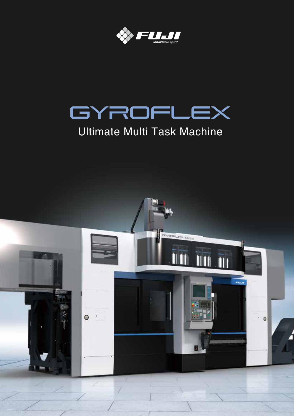



# Ultimate Multi Task Machine

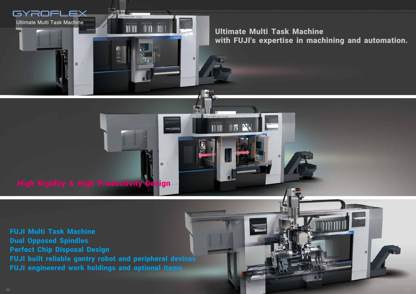# High Rigidity & High Productivity Design

FUJI Multi Task Machine Dual Opposed Spindles Perfect Chip Disposal Design FUJI built reliable gantry robot and peripheral devices FUJI engineered work holdings and optional items



Ultimate Multi Task Machine with FUJI's expertise in machining and automation.

 $\circ$ 

 $\bullet$ 



 $\bullet$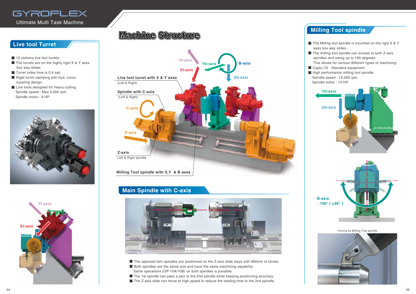- 15 stations live tool turrets.
- $\blacksquare$  The turrets are on the highly rigid X & Y axes box way slides.
- Turret index time is 0.4 sec.
- Rigid turret clamping with hyd. curvic coupling design.
- Live tools designed for heavy cutting. Spindle speed : Max 4,000 rpm Spindle motor : 6 HP



- The Milling tool spindle is mounted on the rigid X & Y axes box way slides.
- The milling tool spindle can access to both Z-axis spindles and swing up to 190 degrees.
- This allows for various different types of machining. ■ Capto C6 : Standard equipment.
- High performance milling tool spindle.
- Spindle speed : 12,000 rpm
- Spindle motor : 15 HP



## **Machine Structure**





Turning by Milling Tool spindle





## **Live tool Turret**

## **Main Spindle with C-axis**



- The opposed twin spindles are positioned on the Z-axis slide ways with 960mm of stroke.
- Both spindles are the same size and have the same machining capability. Same operations (OP-10A/10B) on both spindles is possible.
- The 1st spindle can pass a part to the 2nd spindle while keeping positioning accuracy.
- The Z-axis slide can move at high speed to reduce the loading time to the 2nd spindle.

## **Milling Tool spindle**

# GYROFLEX

Ultimate Multi Task Machine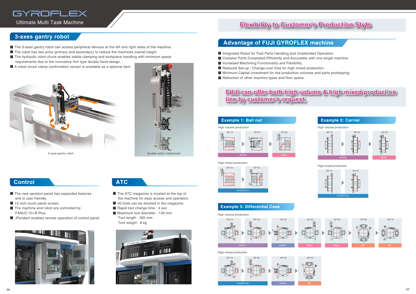## **Flexibility to Customer's Production Style**

## **FUJI can offer both high volume & high mixed production line by customer's request.**





- The ATC magazine is located at the top of the machine for easy access and operation.
- 40 tools can be stocked in the magazine.
- Rapid tool change time : 4 sec
- Maximum tool diameter : 130 mm Tool length : 300 mm Tool weight : 8 kg



- 
- 

#### **Example 3: Differential Case**



# **GYROFLEX**  $OP-10$

High volume production

High mixed production









## **Advantage of FUJI GYROFLEX machine**

- Integrated Robot for Fast Parts Handling and Unattended Operation.
- Complex Parts Completed Efficiently and Accurately with one single machine.
- Increased Machining Functionality and Flexibility.
- Reduced Set-up / Change-over time for high mixed production.
- Minimum Capital investment for low production volumes and parts prototyping.
- Reduction of other machine types and floor space.

#### **3-axes gantry robot**

- The 3-axes gantry robot can access peripheral devices at the left and right sides of the machine.
- The robot has two arms (primary and secondary) to reduce the machines overall height.
- The hydraulic robot chuck enables stable clamping and workpiece handling with minimum space requirements due to the innovative thin type double hand design.
- A robot chuck clamp confirmation sensor is available as a optional item.

#### **Control ATC**

- The new opration panel has expanded features and is user freindly.
- 15 inch touch panel screen.
- The machine and robot are controlled by FANUC 31i-B Plus.
- iPendant enables remote operation of control panel.



# GYROFLEX

Ultimate Multi Task Machine